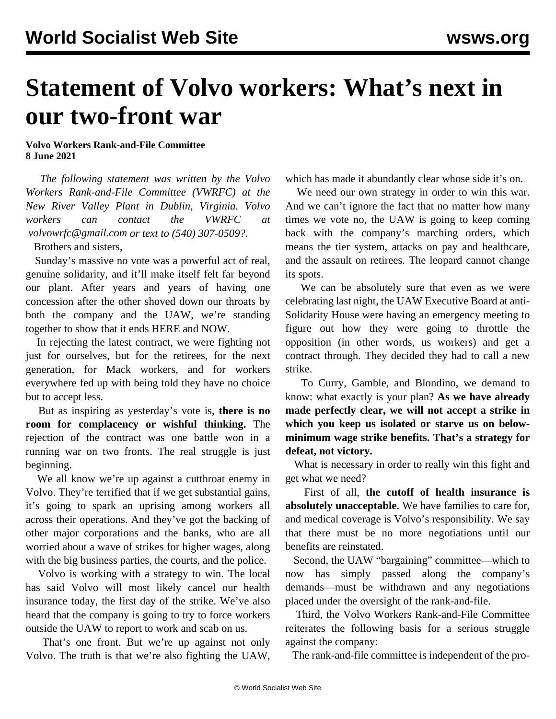## **Statement of Volvo workers: What's next in our two-front war**

**Volvo Workers Rank-and-File Committee 8 June 2021**

 *The following statement was written by the Volvo Workers Rank-and-File Committee (VWRFC) at the New River Valley Plant in Dublin, Virginia. Volvo workers can contact the VWRFC at [volvowrfc@gmail.com](mailto:volvowrfc@gmail.com) or text to (540) 307-0509?.*

Brothers and sisters,

 Sunday's massive no vote was a powerful act of real, genuine solidarity, and it'll make itself felt far beyond our plant. After years and years of having one concession after the other shoved down our throats by both the company and the UAW, we're standing together to show that it ends HERE and NOW.

 In rejecting the latest contract, we were fighting not just for ourselves, but for the retirees, for the next generation, for Mack workers, and for workers everywhere fed up with being told they have no choice but to accept less.

 But as inspiring as yesterday's vote is, **there is no room for complacency or wishful thinking.** The rejection of the contract was one battle won in a running war on two fronts. The real struggle is just beginning.

 We all know we're up against a cutthroat enemy in Volvo. They're terrified that if we get substantial gains, it's going to spark an uprising among workers all across their operations. And they've got the backing of other major corporations and the banks, who are all worried about a wave of strikes for higher wages, along with the big business parties, the courts, and the police.

 Volvo is working with a strategy to win. The local has said Volvo will most likely cancel our health insurance today, the first day of the strike. We've also heard that the company is going to try to force workers outside the UAW to report to work and scab on us.

 That's one front. But we're up against not only Volvo. The truth is that we're also fighting the UAW, which has made it abundantly clear whose side it's on.

 We need our own strategy in order to win this war. And we can't ignore the fact that no matter how many times we vote no, the UAW is going to keep coming back with the company's marching orders, which means the tier system, attacks on pay and healthcare, and the assault on retirees. The leopard cannot change its spots.

 We can be absolutely sure that even as we were celebrating last night, the UAW Executive Board at anti-Solidarity House were having an emergency meeting to figure out how they were going to throttle the opposition (in other words, us workers) and get a contract through. They decided they had to call a new strike.

 To Curry, Gamble, and Blondino, we demand to know: what exactly is your plan? **As we have already made perfectly clear, we will not accept a strike in which you keep us isolated or starve us on belowminimum wage strike benefits. That's a strategy for defeat, not victory.**

 What is necessary in order to really win this fight and get what we need?

 First of all, **the cutoff of health insurance is absolutely unacceptable**. We have families to care for, and medical coverage is Volvo's responsibility. We say that there must be no more negotiations until our benefits are reinstated.

 Second, the UAW "bargaining" committee—which to now has simply passed along the company's demands—must be withdrawn and any negotiations placed under the oversight of the rank-and-file.

 Third, the Volvo Workers Rank-and-File Committee reiterates the following basis for a serious struggle against the company:

The rank-and-file committee is independent of the pro-